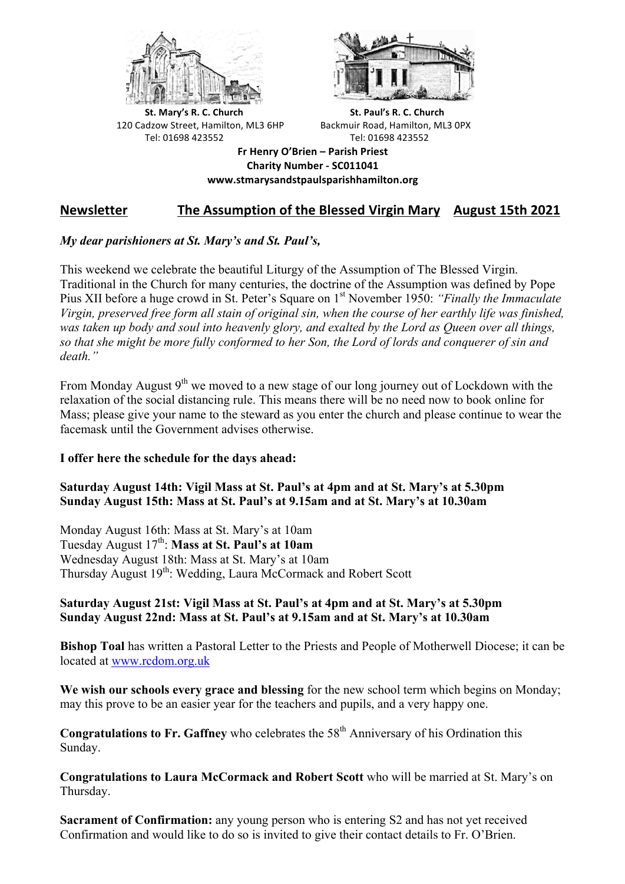



**St.** Mary's R. C. Church St. Paul's R. C. Church 120 Cadzow Street, Hamilton, ML3 6HP Backmuir Road, Hamilton, ML3 0PX Tel: 01698 423552 Tel: 01698 423552

**Fr Henry O'Brien – Parish Priest Charity Number - SC011041 www.stmarysandstpaulsparishhamilton.org**

# **Newsletter** The Assumption of the Blessed Virgin Mary August 15th 2021

## *My dear parishioners at St. Mary's and St. Paul's,*

This weekend we celebrate the beautiful Liturgy of the Assumption of The Blessed Virgin. Traditional in the Church for many centuries, the doctrine of the Assumption was defined by Pope Pius XII before a huge crowd in St. Peter's Square on 1st November 1950: *"Finally the Immaculate Virgin, preserved free form all stain of original sin, when the course of her earthly life was finished, was taken up body and soul into heavenly glory, and exalted by the Lord as Queen over all things, so that she might be more fully conformed to her Son, the Lord of lords and conquerer of sin and death."*

From Monday August  $9<sup>th</sup>$  we moved to a new stage of our long journey out of Lockdown with the relaxation of the social distancing rule. This means there will be no need now to book online for Mass; please give your name to the steward as you enter the church and please continue to wear the facemask until the Government advises otherwise.

### **I offer here the schedule for the days ahead:**

### **Saturday August 14th: Vigil Mass at St. Paul's at 4pm and at St. Mary's at 5.30pm Sunday August 15th: Mass at St. Paul's at 9.15am and at St. Mary's at 10.30am**

Monday August 16th: Mass at St. Mary's at 10am Tuesday August 17<sup>th</sup>: **Mass at St. Paul's at 10am** Wednesday August 18th: Mass at St. Mary's at 10am Thursday August 19<sup>th</sup>: Wedding, Laura McCormack and Robert Scott

### **Saturday August 21st: Vigil Mass at St. Paul's at 4pm and at St. Mary's at 5.30pm Sunday August 22nd: Mass at St. Paul's at 9.15am and at St. Mary's at 10.30am**

**Bishop Toal** has written a Pastoral Letter to the Priests and People of Motherwell Diocese; it can be located at www.rcdom.org.uk

**We wish our schools every grace and blessing** for the new school term which begins on Monday; may this prove to be an easier year for the teachers and pupils, and a very happy one.

**Congratulations to Fr. Gaffney** who celebrates the 58<sup>th</sup> Anniversary of his Ordination this Sunday.

**Congratulations to Laura McCormack and Robert Scott** who will be married at St. Mary's on Thursday.

**Sacrament of Confirmation:** any young person who is entering S2 and has not yet received Confirmation and would like to do so is invited to give their contact details to Fr. O'Brien.